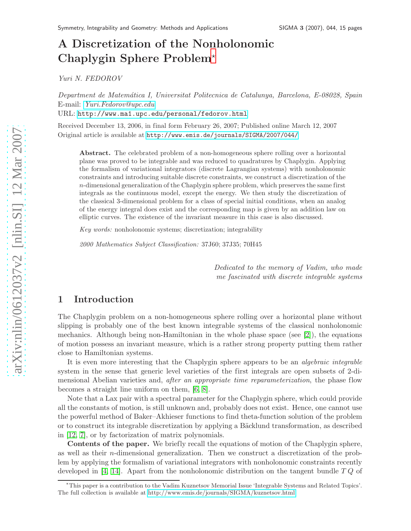# A Discretization of the Nonholonomic Chaplygin Sphere Problem<sup>\*</sup>

Yuri N. FEDOROV

Department de Matem´atica I, Universitat Politecnica de Catalunya, Barcelona, E-08028, Spain E-mail: [Yuri.Fedorov@upc.edu](mailto:Yuri.Fedorov@upc.edu)

URL: <http://www.ma1.upc.edu/personal/fedorov.html>

Received December 13, 2006, in final form February 26, 2007; Published online March 12, 2007 Original article is available at <http://www.emis.de/journals/SIGMA/2007/044/>

Abstract. The celebrated problem of a non-homogeneous sphere rolling over a horizontal plane was proved to be integrable and was reduced to quadratures by Chaplygin. Applying the formalism of variational integrators (discrete Lagrangian systems) with nonholonomic constraints and introducing suitable discrete constraints, we construct a discretization of the  $n$ -dimensional generalization of the Chaplygin sphere problem, which preserves the same first integrals as the continuous model, except the energy. We then study the discretization of the classical 3-dimensional problem for a class of special initial conditions, when an analog of the energy integral does exist and the corresponding map is given by an addition law on elliptic curves. The existence of the invariant measure in this case is also discussed.

Key words: nonholonomic systems; discretization; integrability

2000 Mathematics Subject Classification: 37J60; 37J35; 70H45

Dedicated to the memory of Vadim, who made me fascinated with discrete integrable systems

## 1 Introduction

The Chaplygin problem on a non-homogeneous sphere rolling over a horizontal plane without slipping is probably one of the best known integrable systems of the classical nonholonomic mechanics. Although being non-Hamiltonian in the whole phase space (see [\[2\]](#page-13-0)), the equations of motion possess an invariant measure, which is a rather strong property putting them rather close to Hamiltonian systems.

It is even more interesting that the Chaplygin sphere appears to be an algebraic integrable system in the sense that generic level varieties of the first integrals are open subsets of 2-dimensional Abelian varieties and, *after an appropriate time reparameterization*, the phase flow becomes a straight line uniform on them, [\[6,](#page-14-0) [8\]](#page-14-1).

Note that a Lax pair with a spectral parameter for the Chaplygin sphere, which could provide all the constants of motion, is still unknown and, probably does not exist. Hence, one cannot use the powerful method of Baker–Akhieser functions to find theta-function solution of the problem or to construct its integrable discretization by applying a Bäcklund transformation, as described in [\[12,](#page-14-2) [7\]](#page-14-3), or by factorization of matrix polynomials.

Contents of the paper. We briefly recall the equations of motion of the Chaplygin sphere, as well as their n-dimensional generalization. Then we construct a discretization of the problem by applying the formalism of variational integrators with nonholonomic constraints recently developed in [\[4,](#page-13-1) [14\]](#page-14-4). Apart from the nonholonomic distribution on the tangent bundle  $TQ$  of

<span id="page-0-0"></span><sup>⋆</sup>This paper is a contribution to the Vadim Kuznetsov Memorial Issue 'Integrable Systems and Related Topics'. The full collection is available at<http://www.emis.de/journals/SIGMA/kuznetsov.html>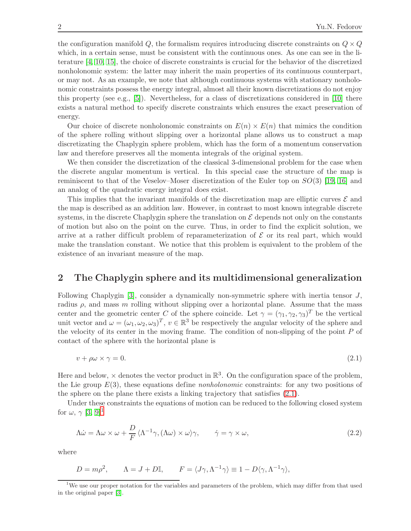the configuration manifold  $Q$ , the formalism requires introducing discrete constraints on  $Q \times Q$ which, in a certain sense, must be consistent with the continuous ones. As one can see in the literature [\[4,](#page-13-1) [10,](#page-14-5) [15\]](#page-14-6), the choice of discrete constraints is crucial for the behavior of the discretized nonholonomic system: the latter may inherit the main properties of its continuous counterpart, or may not. As an example, we note that although continuous systems with stationary nonholonomic constraints possess the energy integral, almost all their known discretizations do not enjoy this property (see e.g.,  $[5]$ ). Nevertheless, for a class of discretizations considered in [\[10\]](#page-14-5) there exists a natural method to specify discrete constraints which ensures the exact preservation of energy.

Our choice of discrete nonholonomic constraints on  $E(n) \times E(n)$  that mimics the condition of the sphere rolling without slipping over a horizontal plane allows us to construct a map discretizating the Chaplygin sphere problem, which has the form of a momentum conservation law and therefore preserves all the momenta integrals of the original system.

We then consider the discretization of the classical 3-dimensional problem for the case when the discrete angular momentum is vertical. In this special case the structure of the map is reminiscent to that of the Veselov–Moser discretization of the Euler top on  $SO(3)$  [\[19,](#page-14-8) [16\]](#page-14-9) and an analog of the quadratic energy integral does exist.

This implies that the invariant manifolds of the discretization map are elliptic curves  $\mathcal E$  and the map is described as an addition law. However, in contrast to most known integrable discrete systems, in the discrete Chaplygin sphere the translation on  $\mathcal E$  depends not only on the constants of motion but also on the point on the curve. Thus, in order to find the explicit solution, we arrive at a rather difficult problem of reparameterization of  $\mathcal E$  or its real part, which would make the translation constant. We notice that this problem is equivalent to the problem of the existence of an invariant measure of the map.

#### 2 The Chaplygin sphere and its multidimensional generalization

Following Chaplygin [\[3\]](#page-13-2), consider a dynamically non-symmetric sphere with inertia tensor J, radius  $\rho$ , and mass m rolling without slipping over a horizontal plane. Assume that the mass center and the geometric center C of the sphere coincide. Let  $\gamma = (\gamma_1, \gamma_2, \gamma_3)^T$  be the vertical unit vector and  $\omega = (\omega_1, \omega_2, \omega_3)^T$ ,  $v \in \mathbb{R}^3$  be respectively the angular velocity of the sphere and the velocity of its center in the moving frame. The condition of non-slipping of the point  $P$  of contact of the sphere with the horizontal plane is

<span id="page-1-0"></span>
$$
v + \rho \omega \times \gamma = 0. \tag{2.1}
$$

Here and below,  $\times$  denotes the vector product in  $\mathbb{R}^3$ . On the configuration space of the problem, the Lie group  $E(3)$ , these equations define *nonholonomic* constraints: for any two positions of the sphere on the plane there exists a linking trajectory that satisfies [\(2.1\)](#page-1-0).

Under these constraints the equations of motion can be reduced to the following closed system for  $\omega, \gamma$  [\[3,](#page-13-2) [9\]](#page-14-10)<sup>[1](#page-1-1)</sup>

<span id="page-1-2"></span>
$$
\Lambda \dot{\omega} = \Lambda \omega \times \omega + \frac{D}{F} \langle \Lambda^{-1} \gamma, (\Lambda \omega) \times \omega \rangle \gamma, \qquad \dot{\gamma} = \gamma \times \omega,
$$
\n(2.2)

where

$$
D = m\rho^2
$$
,  $\Lambda = J + D\mathbb{I}$ ,  $F = \langle J\gamma, \Lambda^{-1}\gamma \rangle \equiv 1 - D\langle \gamma, \Lambda^{-1}\gamma \rangle$ ,

<span id="page-1-1"></span><sup>1</sup>We use our proper notation for the variables and parameters of the problem, which may differ from that used in the original paper [\[3\]](#page-13-2).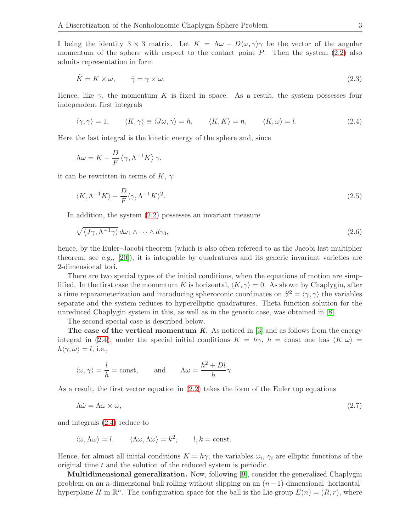I being the identity  $3 \times 3$  matrix. Let  $K = \Lambda \omega - D \langle \omega, \gamma \rangle \gamma$  be the vector of the angular momentum of the sphere with respect to the contact point  $P$ . Then the system  $(2.2)$  also admits representation in form

<span id="page-2-1"></span>
$$
\dot{K} = K \times \omega, \qquad \dot{\gamma} = \gamma \times \omega. \tag{2.3}
$$

Hence, like  $\gamma$ , the momentum K is fixed in space. As a result, the system possesses four independent first integrals

<span id="page-2-0"></span>
$$
\langle \gamma, \gamma \rangle = 1, \qquad \langle K, \gamma \rangle \equiv \langle J\omega, \gamma \rangle = h, \qquad \langle K, K \rangle = n, \qquad \langle K, \omega \rangle = l. \tag{2.4}
$$

Here the last integral is the kinetic energy of the sphere and, since

$$
\Lambda \omega = K - \frac{D}{F} \left\langle \gamma, \Lambda^{-1} K \right\rangle \gamma,
$$

it can be rewritten in terms of  $K$ ,  $\gamma$ :

<span id="page-2-3"></span>
$$
\langle K, \Lambda^{-1}K \rangle - \frac{D}{F} \langle \gamma, \Lambda^{-1}K \rangle^2. \tag{2.5}
$$

In addition, the system [\(2.2\)](#page-1-2) possesses an invariant measure

<span id="page-2-2"></span>
$$
\sqrt{\langle J\gamma, \Lambda^{-1}\gamma \rangle} \, d\omega_1 \wedge \dots \wedge d\gamma_3,\tag{2.6}
$$

hence, by the Euler–Jacobi theorem (which is also often refereed to as the Jacobi last multiplier theorem, see e.g., [\[20\]](#page-14-11)), it is integrable by quadratures and its generic invariant varieties are 2-dimensional tori.

There are two special types of the initial conditions, when the equations of motion are simplified. In the first case the momentum K is horizontal,  $\langle K, \gamma \rangle = 0$ . As shown by Chaplygin, after a time reparameterization and introducing spheroconic coordinates on  $S^2 = \langle \gamma, \gamma \rangle$  the variables separate and the system reduces to hyperelliptic quadratures. Theta function solution for the unreduced Chaplygin system in this, as well as in the generic case, was obtained in [\[8\]](#page-14-1).

The second special case is described below.

The case of the vertical momentum K. As noticed in  $[3]$  and as follows from the energy integral in [\(2.4\)](#page-2-0), under the special initial conditions  $K = h\gamma$ ,  $h = \text{const}$  one has  $\langle K, \omega \rangle =$  $h\langle \gamma, \omega \rangle = l$ , i.e.,

$$
\langle \omega, \gamma \rangle = \frac{l}{h} = \text{const}, \quad \text{and} \quad \Lambda \omega = \frac{h^2 + Dl}{h} \gamma.
$$

As a result, the first vector equation in [\(2.2\)](#page-1-2) takes the form of the Euler top equations

<span id="page-2-4"></span>
$$
\Lambda \dot{\omega} = \Lambda \omega \times \omega, \tag{2.7}
$$

and integrals [\(2.4\)](#page-2-0) reduce to

$$
\langle \omega, \Lambda \omega \rangle = l, \qquad \langle \Lambda \omega, \Lambda \omega \rangle = k^2, \qquad l, k = \text{const.}
$$

Hence, for almost all initial conditions  $K = h\gamma$ , the variables  $\omega_i$ ,  $\gamma_i$  are elliptic functions of the original time t and the solution of the reduced system is periodic.

Multidimensional generalization. Now, following [\[9\]](#page-14-10), consider the generalized Chaplygin problem on an n-dimensional ball rolling without slipping on an  $(n-1)$ -dimensional 'horizontal' hyperplane H in  $\mathbb{R}^n$ . The configuration space for the ball is the Lie group  $E(n) = (R, r)$ , where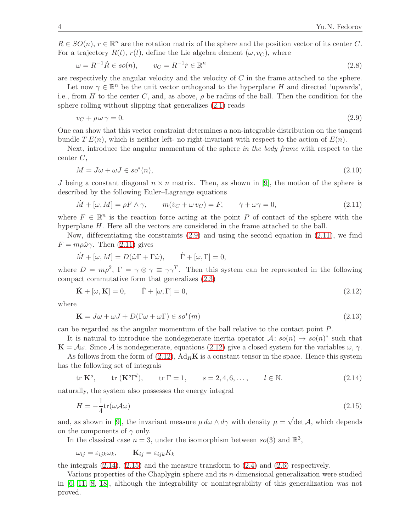$R \in SO(n)$ ,  $r \in \mathbb{R}^n$  are the rotation matrix of the sphere and the position vector of its center C. For a trajectory  $R(t)$ ,  $r(t)$ , define the Lie algebra element  $(\omega, v_C)$ , where

<span id="page-3-5"></span>
$$
\omega = R^{-1}\dot{R} \in so(n), \qquad v_C = R^{-1}\dot{r} \in \mathbb{R}^n \tag{2.8}
$$

are respectively the angular velocity and the velocity of  $C$  in the frame attached to the sphere.

Let now  $\gamma \in \mathbb{R}^n$  be the unit vector orthogonal to the hyperplane H and directed 'upwards', i.e., from H to the center C, and, as above,  $\rho$  be radius of the ball. Then the condition for the sphere rolling without slipping that generalizes [\(2.1\)](#page-1-0) reads

<span id="page-3-0"></span>
$$
v_C + \rho \,\omega \,\gamma = 0. \tag{2.9}
$$

One can show that this vector constraint determines a non-integrable distribution on the tangent bundle  $T E(n)$ , which is neither left- no right-invariant with respect to the action of  $E(n)$ .

Next, introduce the angular momentum of the sphere in the body frame with respect to the center C,

<span id="page-3-6"></span>
$$
M = J\omega + \omega J \in so^*(n),\tag{2.10}
$$

J being a constant diagonal  $n \times n$  matrix. Then, as shown in [\[9\]](#page-14-10), the motion of the sphere is described by the following Euler–Lagrange equations

<span id="page-3-1"></span>
$$
\dot{M} + [\omega, M] = \rho F \wedge \gamma, \qquad m(\dot{v}_C + \omega v_C) = F, \qquad \dot{\gamma} + \omega \gamma = 0,
$$
\n(2.11)

where  $F \in \mathbb{R}^n$  is the reaction force acting at the point P of contact of the sphere with the hyperplane H. Here all the vectors are considered in the frame attached to the ball.

Now, differentiating the constraints  $(2.9)$  and using the second equation in  $(2.11)$ , we find  $F = m \rho \dot{\omega} \gamma$ . Then [\(2.11\)](#page-3-1) gives

$$
\dot{M} + [\omega, M] = D(\dot{\omega}\Gamma + \Gamma\dot{\omega}), \qquad \dot{\Gamma} + [\omega, \Gamma] = 0,
$$

where  $D = m\rho^2$ ,  $\Gamma = \gamma \otimes \gamma \equiv \gamma \gamma^T$ . Then this system can be represented in the following compact commutative form that generalizes [\(2.3\)](#page-2-1)

<span id="page-3-2"></span>
$$
\dot{\mathbf{K}} + [\omega, \mathbf{K}] = 0, \qquad \dot{\Gamma} + [\omega, \Gamma] = 0,
$$
\n(2.12)

where

<span id="page-3-7"></span>
$$
\mathbf{K} = J\omega + \omega J + D(\Gamma\omega + \omega\Gamma) \in so^*(m)
$$
\n(2.13)

can be regarded as the angular momentum of the ball relative to the contact point P.

It is natural to introduce the nondegenerate inertia operator  $\mathcal{A}: so(n) \to so(n)^*$  such that  $\mathbf{K} = \mathcal{A}\omega$ . Since  $\mathcal{A}$  is nondegenerate, equations [\(2.12\)](#page-3-2) give a closed system for the variables  $\omega$ ,  $\gamma$ .

As follows from the form of  $(2.12)$ ,  $Ad_R\mathbf{K}$  is a constant tensor in the space. Hence this system has the following set of integrals

<span id="page-3-3"></span>
$$
\text{tr }\mathbf{K}^s, \qquad \text{tr }(\mathbf{K}^s\Gamma^l), \qquad \text{tr }\Gamma = 1, \qquad s = 2, 4, 6, \dots, \qquad l \in \mathbb{N}. \tag{2.14}
$$

naturally, the system also possesses the energy integral

<span id="page-3-4"></span>
$$
H = -\frac{1}{4}\text{tr}(\omega \mathcal{A}\omega) \tag{2.15}
$$

and, as shown in [\[9\]](#page-14-10), the invariant measure  $\mu d\omega \wedge d\gamma$  with density  $\mu = \sqrt{\det A}$ , which depends on the components of  $\gamma$  only.

In the classical case  $n = 3$ , under the isomorphism between  $so(3)$  and  $\mathbb{R}^3$ ,

$$
\omega_{ij} = \varepsilon_{ijk}\omega_k, \qquad \mathbf{K}_{ij} = \varepsilon_{ijk}K_k
$$

the integrals  $(2.14)$ ,  $(2.15)$  and the measure transform to  $(2.4)$  and  $(2.6)$  respectively.

Various properties of the Chaplygin sphere and its  $n$ -dimensional generalization were studied in [\[6,](#page-14-0) [11,](#page-14-12) [8,](#page-14-1) [18\]](#page-14-13), although the integrability or nonintegrability of this generalization was not proved.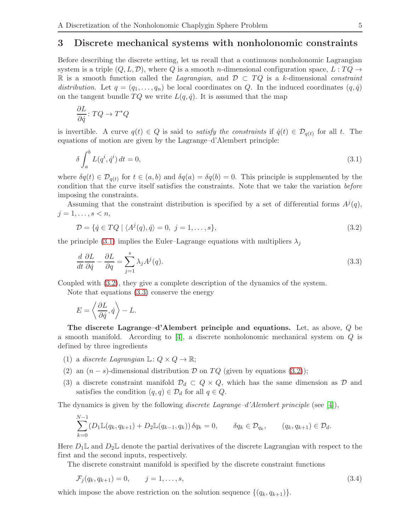#### 3 Discrete mechanical systems with nonholonomic constraints

Before describing the discrete setting, let us recall that a continuous nonholonomic Lagrangian system is a triple  $(Q, L, \mathcal{D})$ , where Q is a smooth *n*-dimensional configuration space,  $L : TQ \rightarrow$ R is a smooth function called the Lagrangian, and  $\mathcal{D} \subset TQ$  is a k-dimensional constraint distribution. Let  $q = (q_1, \ldots, q_n)$  be local coordinates on Q. In the induced coordinates  $(q, \dot{q})$ on the tangent bundle  $TQ$  we write  $L(q, \dot{q})$ . It is assumed that the map

$$
\frac{\partial L}{\partial \dot{q}}\colon TQ\to T^*Q
$$

is invertible. A curve  $q(t) \in Q$  is said to *satisfy the constraints* if  $\dot{q}(t) \in \mathcal{D}_{q(t)}$  for all t. The equations of motion are given by the Lagrange–d'Alembert principle:

<span id="page-4-0"></span>
$$
\delta \int_{a}^{b} L(q^i, \dot{q}^i) dt = 0,\tag{3.1}
$$

where  $\delta q(t) \in \mathcal{D}_{q(t)}$  for  $t \in (a, b)$  and  $\delta q(a) = \delta q(b) = 0$ . This principle is supplemented by the condition that the curve itself satisfies the constraints. Note that we take the variation before imposing the constraints.

Assuming that the constraint distribution is specified by a set of differential forms  $A^{j}(q)$ ,  $j = 1, \ldots, s < n,$ 

<span id="page-4-1"></span>
$$
\mathcal{D} = \{ \dot{q} \in TQ \mid \langle A^j(q), \dot{q} \rangle = 0, \ j = 1, \dots, s \},\tag{3.2}
$$

the principle [\(3.1\)](#page-4-0) implies the Euler–Lagrange equations with multipliers  $\lambda_i$ 

<span id="page-4-2"></span>
$$
\frac{d}{dt}\frac{\partial L}{\partial \dot{q}} - \frac{\partial L}{\partial q} = \sum_{j=1}^{s} \lambda_j A^j(q). \tag{3.3}
$$

Coupled with [\(3.2\)](#page-4-1), they give a complete description of the dynamics of the system.

Note that equations [\(3.3\)](#page-4-2) conserve the energy

$$
E = \left\langle \frac{\partial L}{\partial \dot{q}}, \dot{q} \right\rangle - L.
$$

The discrete Lagrange–d'Alembert principle and equations. Let, as above, Q be a smooth manifold. According to [\[4\]](#page-13-1), a discrete nonholonomic mechanical system on Q is defined by three ingredients

- (1) a discrete Lagrangian  $\mathbb{L}: Q \times Q \to \mathbb{R};$
- (2) an  $(n-s)$ -dimensional distribution D on TQ (given by equations [\(3.2\)](#page-4-1));
- (3) a discrete constraint manifold  $\mathcal{D}_d \subset Q \times Q$ , which has the same dimension as  $\mathcal D$  and satisfies the condition  $(q, q) \in \mathcal{D}_d$  for all  $q \in Q$ .

The dynamics is given by the following *discrete Lagrange–d'Alembert principle* (see [\[4\]](#page-13-1)),

$$
\sum_{k=0}^{N-1} (D_1 \mathbb{L}(q_k, q_{k+1}) + D_2 \mathbb{L}(q_{k-1}, q_k)) \, \delta q_k = 0, \qquad \delta q_k \in \mathcal{D}_{q_k}, \qquad (q_k, q_{k+1}) \in \mathcal{D}_d.
$$

Here  $D_1\mathbb{L}$  and  $D_2\mathbb{L}$  denote the partial derivatives of the discrete Lagrangian with respect to the first and the second inputs, respectively.

The discrete constraint manifold is specified by the discrete constraint functions

<span id="page-4-3"></span>
$$
\mathcal{F}_j(q_k, q_{k+1}) = 0, \qquad j = 1, \dots, s,
$$
\n(3.4)

which impose the above restriction on the solution sequence  $\{(q_k, q_{k+1})\}.$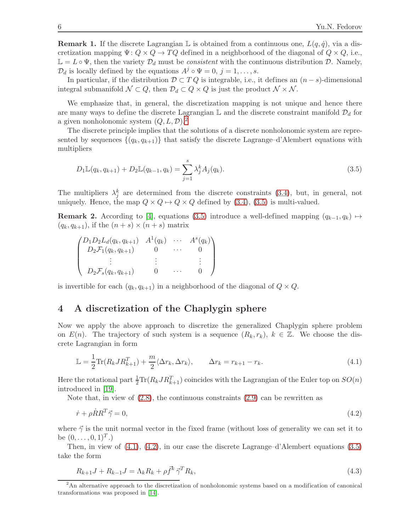**Remark 1.** If the discrete Lagrangian L is obtained from a continuous one,  $L(q, \dot{q})$ , via a discretization mapping  $\Psi: Q \times Q \to TQ$  defined in a neighborhood of the diagonal of  $Q \times Q$ , i.e.,  $\mathbb{L} = L \circ \Psi$ , then the variety  $\mathcal{D}_d$  must be *consistent* with the continuous distribution  $\mathcal{D}$ . Namely,  $\mathcal{D}_d$  is locally defined by the equations  $A^j \circ \Psi = 0, j = 1, \ldots, s$ .

In particular, if the distribution  $D \subset T Q$  is integrable, i.e., it defines an  $(n - s)$ -dimensional integral submanifold  $\mathcal{N} \subset Q$ , then  $\mathcal{D}_d \subset Q \times Q$  is just the product  $\mathcal{N} \times \mathcal{N}$ .

We emphasize that, in general, the discretization mapping is not unique and hence there are many ways to define the discrete Lagrangian  $\mathbb L$  and the discrete constraint manifold  $\mathcal D_d$  for a given nonholonomic system  $(Q, L, \mathcal{D})$ .<sup>[2](#page-5-0)</sup>

The discrete principle implies that the solutions of a discrete nonholonomic system are represented by sequences  $\{(q_k, q_{k+1})\}$  that satisfy the discrete Lagrange–d'Alembert equations with multipliers

<span id="page-5-1"></span>
$$
D_1 \mathbb{L}(q_k, q_{k+1}) + D_2 \mathbb{L}(q_{k-1}, q_k) = \sum_{j=1}^s \lambda_j^k A_j(q_k). \tag{3.5}
$$

The multipliers  $\lambda_j^k$  are determined from the discrete constraints [\(3.4\)](#page-4-3), but, in general, not uniquely. Hence, the map  $Q \times Q \mapsto Q \times Q$  defined by [\(3.4\)](#page-4-3), [\(3.5\)](#page-5-1) is multi-valued.

**Remark 2.** According to [\[4\]](#page-13-1), equations [\(3.5\)](#page-5-1) introduce a well-defined mapping  $(q_{k-1}, q_k) \mapsto$  $(q_k, q_{k+1}),$  if the  $(n + s) \times (n + s)$  matrix

$$
\begin{pmatrix}\nD_1 D_2 L_d(q_k, q_{k+1}) & A^1(q_k) & \cdots & A^s(q_k) \\
D_2 \mathcal{F}_1(q_k, q_{k+1}) & 0 & \cdots & 0 \\
\vdots & \vdots & \ddots & \vdots \\
D_2 \mathcal{F}_s(q_k, q_{k+1}) & 0 & \cdots & 0\n\end{pmatrix}
$$

is invertible for each  $(q_k, q_{k+1})$  in a neighborhood of the diagonal of  $Q \times Q$ .

## 4 A discretization of the Chaplygin sphere

Now we apply the above approach to discretize the generalized Chaplygin sphere problem on  $E(n)$ . The trajectory of such system is a sequence  $(R_k, r_k)$ ,  $k \in \mathbb{Z}$ . We choose the discrete Lagrangian in form

<span id="page-5-2"></span>
$$
\mathbb{L} = \frac{1}{2} \text{Tr}(R_k J R_{k+1}^T) + \frac{m}{2} \langle \Delta r_k, \Delta r_k \rangle, \qquad \Delta r_k = r_{k+1} - r_k. \tag{4.1}
$$

Here the rotational part  $\frac{1}{2} \text{Tr}(R_k J R_{k+1}^T)$  coincides with the Lagrangian of the Euler top on  $SO(n)$ introduced in [\[19\]](#page-14-8).

Note that, in view of  $(2.8)$ , the continuous constraints  $(2.9)$  can be rewritten as

<span id="page-5-3"></span>
$$
\dot{r} + \rho \dot{R} R^T \vec{\gamma} = 0,\tag{4.2}
$$

where  $\vec{\gamma}$  is the unit normal vector in the fixed frame (without loss of generality we can set it to be  $(0, \ldots, 0, 1)^T$ .)

Then, in view of  $(4.1)$ ,  $(4.2)$ , in our case the discrete Lagrange–d'Alembert equations  $(3.5)$ take the form

<span id="page-5-4"></span>
$$
R_{k+1}J + R_{k-1}J = \Lambda_k R_k + \rho \vec{f}^k \vec{\gamma}^T R_k,
$$
\n(4.3)

<span id="page-5-0"></span><sup>&</sup>lt;sup>2</sup>An alternative approach to the discretization of nonholonomic systems based on a modification of canonical transformations was proposed in [\[14\]](#page-14-4).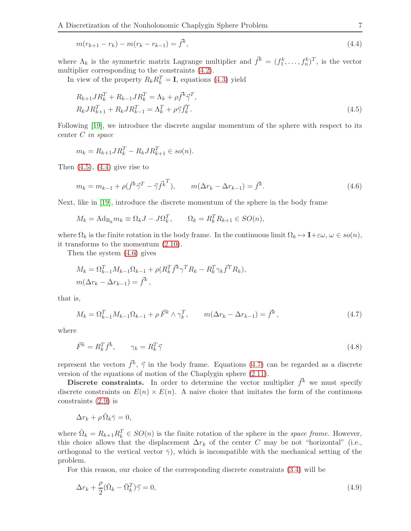<span id="page-6-1"></span>
$$
m(r_{k+1} - r_k) - m(r_k - r_{k-1}) = \bar{f}^k,
$$
\n(4.4)

where  $\Lambda_k$  is the symmetric matrix Lagrange multiplier and  $\vec{f}^k = (f_1^k, \ldots, f_n^k)^T$ , is the vector multiplier corresponding to the constraints [\(4.2\)](#page-5-3).

In view of the property  $R_k R_k^T = I$ , equations [\(4.3\)](#page-5-4) yield

<span id="page-6-0"></span>
$$
R_{k+1} J R_k^T + R_{k-1} J R_k^T = \Lambda_k + \rho \vec{f}^k \vec{\gamma}^T,
$$
  
\n
$$
R_k J R_{k+1}^T + R_k J R_{k-1}^T = \Lambda_k^T + \rho \vec{\gamma} \vec{f}_k^T.
$$
\n(4.5)

Following [\[19\]](#page-14-8), we introduce the discrete angular momentum of the sphere with respect to its center C in space

$$
m_k = R_{k+1} J R_k^T - R_k J R_{k+1}^T \in so(n).
$$

Then  $(4.5)$ ,  $(4.4)$  give rise to

<span id="page-6-2"></span>
$$
m_k = m_{k-1} + \rho(\vec{f}^k \vec{\gamma}^T - \vec{\gamma} \vec{f}^k^T), \qquad m(\Delta r_k - \Delta r_{k-1}) = \vec{f}^k.
$$
 (4.6)

Next, like in [\[19\]](#page-14-8), introduce the discrete momentum of the sphere in the body frame

$$
M_k = \text{Ad}_{R_k} m_k \equiv \Omega_k J - J \Omega_k^T, \qquad \Omega_k = R_k^T R_{k+1} \in SO(n),
$$

where  $\Omega_k$  is the finite rotation in the body frame. In the continuous limit  $\Omega_k \mapsto I+\varepsilon\omega, \omega \in so(n)$ , it transforms to the momentum [\(2.10\)](#page-3-6).

Then the system [\(4.6\)](#page-6-2) gives

$$
M_k = \Omega_{k-1}^T M_{k-1} \Omega_{k-1} + \rho (R_k^T \vec{f}^k \gamma^T R_k - R_k^T \gamma_k \vec{f}^T R_k),
$$
  

$$
m(\Delta r_k - \Delta r_{k-1}) = \vec{f}^k,
$$

that is,

<span id="page-6-3"></span>
$$
M_k = \Omega_{k-1}^T M_{k-1} \Omega_{k-1} + \rho \vec{F}^k \wedge \gamma_k^T, \qquad m(\Delta r_k - \Delta r_{k-1}) = \vec{f}^k,
$$
\n(4.7)

where

<span id="page-6-5"></span>
$$
\vec{F}^k = R_k^T \vec{f}^k, \qquad \gamma_k = R_k^T \vec{\gamma} \tag{4.8}
$$

represent the vectors  $\vec{f}^k$ ,  $\vec{\gamma}$  in the body frame. Equations [\(4.7\)](#page-6-3) can be regarded as a discrete version of the equations of motion of the Chaplygin sphere [\(2.11\)](#page-3-1).

Discrete constraints. In order to determine the vector multiplier  $\vec{f}^k$  we must specify discrete constraints on  $E(n) \times E(n)$ . A naive choice that imitates the form of the continuous constraints [\(2.9\)](#page-3-0) is

$$
\Delta r_k + \rho \,\overline{\Omega}_k \overline{\gamma} = 0,
$$

where  $\bar{\Omega}_k = R_{k+1} R_k^T \in SO(n)$  is the finite rotation of the sphere in the space frame. However, this choice allows that the displacement  $\Delta r_k$  of the center C may be not "horizontal" (i.e., orthogonal to the vertical vector  $\bar{\gamma}$ ), which is incompatible with the mechanical setting of the problem.

For this reason, our choice of the corresponding discrete constraints [\(3.4\)](#page-4-3) will be

<span id="page-6-4"></span>
$$
\Delta r_k + \frac{\rho}{2} (\bar{\Omega}_k - \bar{\Omega}_k^T) \vec{\gamma} = 0, \tag{4.9}
$$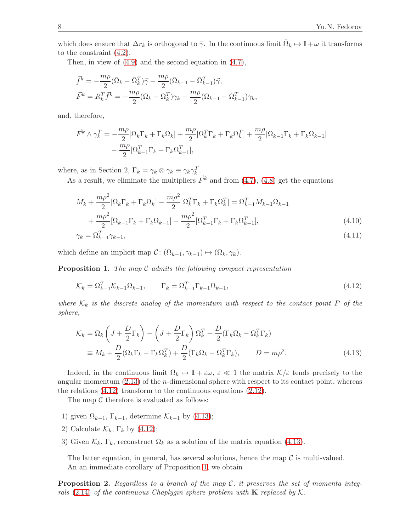which does ensure that  $\Delta r_k$  is orthogonal to  $\bar{\gamma}$ . In the continuous limit  $\bar{\Omega}_k \mapsto \mathbf{I} + \omega$  it transforms to the constraint [\(4.2\)](#page-5-3).

Then, in view of [\(4.9\)](#page-6-4) and the second equation in [\(4.7\)](#page-6-3),

$$
\begin{aligned}\n\vec{f}^k &= -\frac{m\rho}{2} (\bar{\Omega}_k - \bar{\Omega}_k^T) \vec{\gamma} + \frac{m\rho}{2} (\bar{\Omega}_{k-1} - \bar{\Omega}_{k-1}^T) \vec{\gamma}, \\
\vec{F}^k &= R_k^T \vec{f}^k = -\frac{m\rho}{2} (\Omega_k - \Omega_k^T) \gamma_k - \frac{m\rho}{2} (\Omega_{k-1} - \Omega_{k-1}^T) \gamma_k,\n\end{aligned}
$$

and, therefore,

$$
\begin{split} \vec{F}^k \wedge \gamma_k^T &= -\frac{m\rho}{2} [\Omega_k \Gamma_k + \Gamma_k \Omega_k] + \frac{m\rho}{2} [\Omega_k^T \Gamma_k + \Gamma_k \Omega_k^T] + \frac{m\rho}{2} [\Omega_{k-1} \Gamma_k + \Gamma_k \Omega_{k-1}] \\ &- \frac{m\rho}{2} [\Omega_{k-1}^T \Gamma_k + \Gamma_k \Omega_{k-1}^T], \end{split}
$$

where, as in Section 2,  $\Gamma_k = \gamma_k \otimes \gamma_k \equiv \gamma_k \gamma_k^T$ .

As a result, we eliminate the multipliers  $\vec{F}^k$  and from [\(4.7\)](#page-6-3), [\(4.8\)](#page-6-5) get the equations

$$
M_k + \frac{m\rho^2}{2} [\Omega_k \Gamma_k + \Gamma_k \Omega_k] - \frac{m\rho^2}{2} [\Omega_k^T \Gamma_k + \Gamma_k \Omega_k^T] = \Omega_{k-1}^T M_{k-1} \Omega_{k-1}
$$
  
+ 
$$
\frac{m\rho^2}{2} [\Omega_{k-1} \Gamma_k + \Gamma_k \Omega_{k-1}] - \frac{m\rho^2}{2} [\Omega_{k-1}^T \Gamma_k + \Gamma_k \Omega_{k-1}^T],
$$
(4.10)

<span id="page-7-4"></span><span id="page-7-3"></span>
$$
\gamma_k = \Omega_{k-1}^T \gamma_{k-1},\tag{4.11}
$$

which define an implicit map  $C: (\Omega_{k-1}, \gamma_{k-1}) \mapsto (\Omega_k, \gamma_k)$ .

<span id="page-7-2"></span>**Proposition 1.** The map  $\mathcal C$  admits the following compact representation

<span id="page-7-0"></span>
$$
\mathcal{K}_k = \Omega_{k-1}^T \mathcal{K}_{k-1} \Omega_{k-1}, \qquad \Gamma_k = \Omega_{k-1}^T \Gamma_{k-1} \Omega_{k-1}, \tag{4.12}
$$

where  $\mathcal{K}_k$  is the discrete analog of the momentum with respect to the contact point P of the sphere,

<span id="page-7-1"></span>
$$
\mathcal{K}_k = \Omega_k \left( J + \frac{D}{2} \Gamma_k \right) - \left( J + \frac{D}{2} \Gamma_k \right) \Omega_k^T + \frac{D}{2} (\Gamma_k \Omega_k - \Omega_k^T \Gamma_k)
$$
  
\n
$$
\equiv M_k + \frac{D}{2} (\Omega_k \Gamma_k - \Gamma_k \Omega_k^T) + \frac{D}{2} (\Gamma_k \Omega_k - \Omega_k^T \Gamma_k), \qquad D = m \rho^2.
$$
\n(4.13)

Indeed, in the continuous limit  $\Omega_k \mapsto I + \varepsilon \omega, \, \varepsilon \ll 1$  the matrix  $\mathcal{K}/\varepsilon$  tends precisely to the angular momentum  $(2.13)$  of the *n*-dimensional sphere with respect to its contact point, whereas the relations [\(4.12\)](#page-7-0) transform to the continuous equations [\(2.12\)](#page-3-2).

The map  $\mathcal C$  therefore is evaluated as follows:

- 1) given  $\Omega_{k-1}$ ,  $\Gamma_{k-1}$ , determine  $\mathcal{K}_{k-1}$  by [\(4.13\)](#page-7-1);
- 2) Calculate  $\mathcal{K}_k$ ,  $\Gamma_k$  by [\(4.12\)](#page-7-0);
- 3) Given  $\mathcal{K}_k$ ,  $\Gamma_k$ , reconstruct  $\Omega_k$  as a solution of the matrix equation [\(4.13\)](#page-7-1).

The latter equation, in general, has several solutions, hence the map  $\mathcal C$  is multi-valued. An an immediate corollary of Proposition [1,](#page-7-2) we obtain

**Proposition 2.** Regardless to a branch of the map  $\mathcal{C}$ , it preserves the set of momenta integrals  $(2.14)$  of the continuous Chaplygin sphere problem with **K** replaced by K.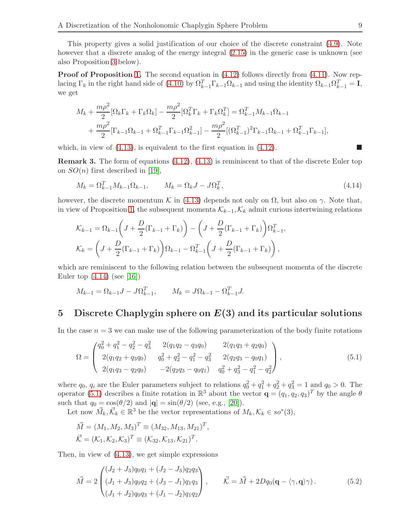This property gives a solid justification of our choice of the discrete constraint [\(4.9\)](#page-6-4). Note however that a discrete analog of the energy integral [\(2.15\)](#page-3-4) in the generic case is unknown (see also Proposition [3](#page-9-0) below).

Proof of Proposition [1.](#page-7-2) The second equation in  $(4.12)$  follows directly from  $(4.11)$ . Now replacing  $\Gamma_k$  in the right hand side of [\(4.10\)](#page-7-4) by  $\Omega_{k-1}^T \Gamma_{k-1} \Omega_{k-1}$  and using the identity  $\Omega_{k-1} \Omega_{k-1}^T = \mathbf{I}$ , we get

$$
M_{k} + \frac{m\rho^{2}}{2} [\Omega_{k}\Gamma_{k} + \Gamma_{k}\Omega_{k}] - \frac{m\rho^{2}}{2} [\Omega_{k}^{T}\Gamma_{k} + \Gamma_{k}\Omega_{k}^{T}] = \Omega_{k-1}^{T} M_{k-1}\Omega_{k-1} + \frac{m\rho^{2}}{2} [\Gamma_{k-1}\Omega_{k-1} + \Omega_{k-1}^{T}\Gamma_{k-1}\Omega_{k-1}^{2}] - \frac{m\rho^{2}}{2} [(\Omega_{k-1}^{T})^{2}\Gamma_{k-1}\Omega_{k-1} + \Omega_{k-1}^{T}\Gamma_{k-1}],
$$

which, in view of  $(4.13)$ , is equivalent to the first equation in  $(4.12)$ .

Remark 3. The form of equations [\(4.12\)](#page-7-0), [\(4.13\)](#page-7-1) is reminiscent to that of the discrete Euler top on  $SO(n)$  first described in [\[19\]](#page-14-8),

<span id="page-8-0"></span>
$$
M_k = \Omega_{k-1}^T M_{k-1} \Omega_{k-1}, \qquad M_k = \Omega_k J - J \Omega_k^T,\tag{4.14}
$$

however, the discrete momentum K in [\(4.13\)](#page-7-1) depends not only on  $\Omega$ , but also on  $\gamma$ . Note that, in view of Proposition [1,](#page-7-2) the subsequent momenta  $\mathcal{K}_{k-1}$ ,  $\mathcal{K}_k$  admit curious intertwining relations

$$
\mathcal{K}_{k-1} = \Omega_{k-1} \left( J + \frac{D}{2} (\Gamma_{k-1} + \Gamma_k) \right) - \left( J + \frac{D}{2} (\Gamma_{k-1} + \Gamma_k) \right) \Omega_{k-1}^T,
$$
  

$$
\mathcal{K}_k = \left( J + \frac{D}{2} (\Gamma_{k-1} + \Gamma_k) \right) \Omega_{k-1} - \Omega_{k-1}^T \left( J + \frac{D}{2} (\Gamma_{k-1} + \Gamma_k) \right),
$$

which are reminiscent to the following relation between the subsequent momenta of the discrete Euler top  $(4.14)$  (see [\[16\]](#page-14-9))

$$
M_{k-1} = \Omega_{k-1}J - J\Omega_{k-1}^T, \qquad M_k = J\Omega_{k-1} - \Omega_{k-1}^T J.
$$

## 5 Discrete Chaplygin sphere on  $E(3)$  and its particular solutions

In the case  $n = 3$  we can make use of the following parameterization of the body finite rotations

<span id="page-8-1"></span>
$$
\Omega = \begin{pmatrix} q_0^2 + q_1^2 - q_2^2 - q_3^2 & 2(q_1q_2 - q_3q_0) & 2(q_1q_3 + q_2q_0) \\ 2(q_1q_2 + q_3q_0) & q_0^2 + q_2^2 - q_1^2 - q_3^2 & 2(q_2q_3 - q_0q_1) \\ 2(q_1q_3 - q_2q_0) & -2(q_2q_3 - q_0q_1) & q_0^2 + q_3^2 - q_1^2 - q_2^2 \end{pmatrix},
$$
\n(5.1)

where  $q_0$ ,  $q_i$  are the Euler parameters subject to relations  $q_0^2 + q_1^2 + q_2^2 + q_3^2 = 1$  and  $q_0 > 0$ . The operator [\(5.1\)](#page-8-1) describes a finite rotation in  $\mathbb{R}^3$  about the vector  $\mathbf{q} = (q_1, q_2, q_3)^T$  by the angle  $\theta$ such that  $q_0 = \cos(\theta/2)$  and  $|\mathbf{q}| = \sin(\theta/2)$  (see, e.g., [\[20\]](#page-14-11)).

Let now  $\vec{M}_k, \vec{K}_k \in \mathbb{R}^3$  be the vector representations of  $M_k, K_k \in so^*(3)$ ,

$$
\vec{M} = (M_1, M_2, M_3)^T \equiv (M_{32}, M_{13}, M_{21})^T,
$$
  

$$
\vec{K} = (\mathcal{K}_1, \mathcal{K}_2, \mathcal{K}_3)^T \equiv (\mathcal{K}_{32}, \mathcal{K}_{13}, \mathcal{K}_{21})^T.
$$

Then, in view of [\(4.13\)](#page-7-1), we get simple expressions

<span id="page-8-2"></span>
$$
\vec{M} = 2 \begin{pmatrix} (J_2 + J_3)q_0 q_1 + (J_2 - J_3)q_2 q_3 \\ (J_1 + J_3)q_0 q_2 + (J_3 - J_1)q_1 q_3 \\ (J_1 + J_2)q_0 q_3 + (J_1 - J_2)q_1 q_2 \end{pmatrix}, \qquad \vec{\mathcal{K}} = \vec{M} + 2Dq_0 (\mathbf{q} - \langle \gamma, \mathbf{q} \rangle \gamma).
$$
 (5.2)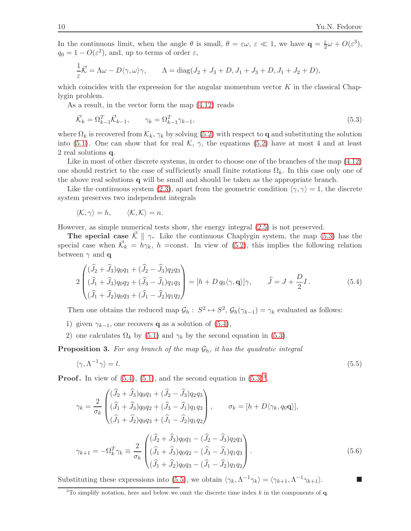In the continuous limit, when the angle  $\theta$  is small,  $\theta = \varepsilon \omega$ ,  $\varepsilon \ll 1$ , we have  $\mathbf{q} = \frac{\varepsilon}{2} \omega + O(\varepsilon^3)$ ,  $q_0 = 1 - O(\varepsilon^2)$ , and, up to terms of order  $\varepsilon$ ,

$$
\frac{1}{\varepsilon}\vec{\mathcal{K}} = \Lambda\omega - D\langle \gamma, \omega \rangle \gamma, \qquad \Lambda = \text{diag}(J_2 + J_3 + D, J_1 + J_3 + D, J_1 + J_2 + D),
$$

which coincides with the expression for the angular momentum vector  $K$  in the classical Chaplygin problem.

As a result, in the vector form the map [\(4.12\)](#page-7-0) reads

<span id="page-9-1"></span>
$$
\vec{\mathcal{K}}_k = \Omega_{k-1}^T \vec{\mathcal{K}}_{k-1}, \qquad \gamma_k = \Omega_{k-1}^T \gamma_{k-1}, \tag{5.3}
$$

where  $\Omega_k$  is recovered from  $\mathcal{K}_k$ ,  $\gamma_k$  by solving [\(5.2\)](#page-8-2) with respect to q and substituting the solution into [\(5.1\)](#page-8-1). One can show that for real K,  $\gamma$ , the equations [\(5.2\)](#page-8-2) have at most 4 and at least 2 real solutions q.

Like in most of other discrete systems, in order to choose one of the branches of the map  $(4.12)$ one should restrict to the case of sufficiently small finite rotations  $\Omega_k$ . In this case only one of the above real solutions q will be small and should be taken as the appropriate branch.

Like the continuous system [\(2.3\)](#page-2-1), apart from the geometric condition  $\langle \gamma, \gamma \rangle = 1$ , the discrete system preserves two independent integrals

$$
\langle \mathcal{K}, \gamma \rangle = h, \qquad \langle \mathcal{K}, \mathcal{K} \rangle = n.
$$

However, as simple numerical tests show, the energy integral [\(2.5\)](#page-2-3) is not preserved.

**The special case**  $\vec{\mathcal{K}} \parallel \gamma$ . Like the continuous Chaplygin system, the map [\(5.3\)](#page-9-1) has the special case when  $\vec{\mathcal{K}}_k = h\gamma_k$ , h = const. In view of [\(5.2\)](#page-8-2), this implies the following relation between  $\gamma$  and **q** 

<span id="page-9-2"></span>
$$
2\begin{pmatrix}\n(\hat{J}_2 + \hat{J}_3)q_0q_1 + (\hat{J}_2 - \hat{J}_3)q_2q_3 \\
(\hat{J}_1 + \hat{J}_3)q_0q_2 + (\hat{J}_3 - \hat{J}_1)q_1q_3 \\
(\hat{J}_1 + \hat{J}_2)q_0q_3 + (\hat{J}_1 - \hat{J}_2)q_1q_2\n\end{pmatrix} = [h + D q_0 \langle \gamma, \mathbf{q} \rangle] \gamma, \qquad \hat{J} = J + \frac{D}{2}I.
$$
\n(5.4)

Then one obtains the reduced map  $\mathcal{G}_h: S^2 \mapsto S^2$ ,  $\mathcal{G}_h(\gamma_{k-1}) = \gamma_k$  evaluated as follows:

- 1) given  $\gamma_{k-1}$ , one recovers **q** as a solution of [\(5.4\)](#page-9-2),
- 2) one calculates  $\Omega_k$  by [\(5.1\)](#page-8-1) and  $\gamma_k$  by the second equation in [\(5.3\)](#page-9-1).

<span id="page-9-0"></span>**Proposition 3.** For any branch of the map  $\mathcal{G}_h$ , it has the quadratic integral

<span id="page-9-4"></span>
$$
\langle \gamma, \Lambda^{-1} \gamma \rangle = l. \tag{5.5}
$$

**Proof.** In view of  $(5.4)$ ,  $(5.1)$ , and the second equation in  $(5.3)^3$  $(5.3)^3$  $(5.3)^3$ ,

$$
\gamma_k = \frac{2}{\sigma_k} \begin{pmatrix} (\hat{J}_2 + \hat{J}_3)q_0 q_1 + (\hat{J}_2 - \hat{J}_3)q_2 q_3 \\ (\hat{J}_1 + \hat{J}_3)q_0 q_2 + (\hat{J}_3 - \hat{J}_1)q_1 q_3 \\ (\hat{J}_1 + \hat{J}_2)q_0 q_3 + (\hat{J}_1 - \hat{J}_2)q_1 q_2 \end{pmatrix}, \qquad \sigma_k = [h + D\langle \gamma_k, q_0 \mathbf{q} \rangle],
$$

<span id="page-9-5"></span>
$$
\gamma_{k+1} = -\Omega_k^T \gamma_k \equiv \frac{2}{\sigma_k} \begin{pmatrix} (\hat{J}_2 + \hat{J}_3)q_0 q_1 - (\hat{J}_2 - \hat{J}_3)q_2 q_3 \\ (\hat{J}_1 + \hat{J}_3)q_0 q_2 - (\hat{J}_3 - \hat{J}_1)q_1 q_3 \\ (\hat{J}_1 + \hat{J}_2)q_0 q_3 - (\hat{J}_1 - \hat{J}_2)q_1 q_2 \end{pmatrix} . \tag{5.6}
$$

Substituting these expressions into [\(5.5\)](#page-9-4), we obtain  $\langle \gamma_k, \Lambda^{-1}\gamma_k \rangle = \langle \gamma_{k+1}, \Lambda^{-1}\gamma_{k+1} \rangle$ .

<span id="page-9-3"></span> $3$ To simplify notation, here and below we omit the discrete time index k in the components of q.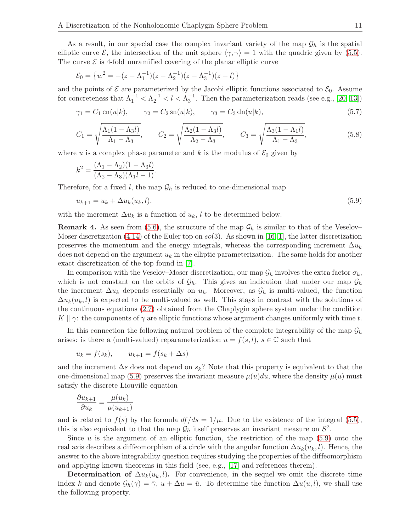As a result, in our special case the complex invariant variety of the map  $\mathcal{G}_h$  is the spatial elliptic curve  $\mathcal{E}$ , the intersection of the unit sphere  $\langle \gamma, \gamma \rangle = 1$  with the quadric given by [\(5.5\)](#page-9-4). The curve  $\mathcal E$  is 4-fold unramified covering of the planar elliptic curve

$$
\mathcal{E}_0 = \left\{ w^2 = -(z - \Lambda_1^{-1})(z - \Lambda_2^{-1})(z - \Lambda_3^{-1})(z - l) \right\}
$$

and the points of  $\mathcal E$  are parameterized by the Jacobi elliptic functions associated to  $\mathcal E_0$ . Assume for concreteness that  $\Lambda_1^{-1} < \Lambda_2^{-1} < l < \Lambda_3^{-1}$ . Then the parameterization reads (see e.g., [\[20,](#page-14-11) [13\]](#page-14-14))

$$
\gamma_1 = C_1 \operatorname{cn}(u|k), \qquad \gamma_2 = C_2 \operatorname{sn}(u|k), \qquad \gamma_3 = C_3 \operatorname{dn}(u|k),
$$
\n(5.7)

<span id="page-10-2"></span><span id="page-10-1"></span>
$$
C_1 = \sqrt{\frac{\Lambda_1 (1 - \Lambda_3 l)}{\Lambda_1 - \Lambda_3}}, \qquad C_2 = \sqrt{\frac{\Lambda_2 (1 - \Lambda_3 l)}{\Lambda_2 - \Lambda_3}}, \qquad C_3 = \sqrt{\frac{\Lambda_3 (1 - \Lambda_1 l)}{\Lambda_1 - \Lambda_3}},
$$
(5.8)

where u is a complex phase parameter and k is the modulus of  $\mathcal{E}_0$  given by

<span id="page-10-0"></span>
$$
k^{2} = \frac{(\Lambda_{1} - \Lambda_{2})(1 - \Lambda_{3}l)}{(\Lambda_{2} - \Lambda_{3})(\Lambda_{1}l - 1)}.
$$

Therefore, for a fixed l, the map  $\mathcal{G}_h$  is reduced to one-dimensional map

$$
u_{k+1} = u_k + \Delta u_k(u_k, l), \tag{5.9}
$$

with the increment  $\Delta u_k$  is a function of  $u_k$ , l to be determined below.

**Remark 4.** As seen from [\(5.6\)](#page-9-5), the structure of the map  $\mathcal{G}_h$  is similar to that of the Veselov– Moser discretization [\(4.14\)](#page-8-0) of the Euler top on  $so(3)$ . As shown in [\[16,](#page-14-9) [1\]](#page-13-3), the latter discretization preserves the momentum and the energy integrals, whereas the corresponding increment  $\Delta u_k$ does not depend on the argument  $u_k$  in the elliptic parameterization. The same holds for another exact discretization of the top found in [\[7\]](#page-14-3).

In comparison with the Veselov–Moser discretization, our map  $\mathcal{G}_h$  involves the extra factor  $\sigma_k$ , which is not constant on the orbits of  $\mathcal{G}_h$ . This gives an indication that under our map  $\mathcal{G}_h$ the increment  $\Delta u_k$  depends essentially on  $u_k$ . Moreover, as  $\mathcal{G}_h$  is multi-valued, the function  $\Delta u_k(u_k, l)$  is expected to be multi-valued as well. This stays in contrast with the solutions of the continuous equations [\(2.7\)](#page-2-4) obtained from the Chaplygin sphere system under the condition  $K \parallel \gamma$ : the components of  $\gamma$  are elliptic functions whose argument changes uniformly with time t.

In this connection the following natural problem of the complete integrability of the map  $\mathcal{G}_h$ arises: is there a (multi-valued) reparameterization  $u = f(s, l)$ ,  $s \in \mathbb{C}$  such that

$$
u_k = f(s_k), \qquad u_{k+1} = f(s_k + \Delta s)
$$

and the increment  $\Delta s$  does not depend on  $s_k$ ? Note that this property is equivalent to that the one-dimensional map [\(5.9\)](#page-10-0) preserves the invariant measure  $\mu(u)du$ , where the density  $\mu(u)$  must satisfy the discrete Liouville equation

$$
\frac{\partial u_{k+1}}{\partial u_k} = \frac{\mu(u_k)}{\mu(u_{k+1})}
$$

and is related to  $f(s)$  by the formula  $df/ds = 1/\mu$ . Due to the existence of the integral [\(5.5\)](#page-9-4), this is also equivalent to that the map  $\mathcal{G}_h$  itself preserves an invariant measure on  $S^2$ .

Since  $u$  is the argument of an elliptic function, the restriction of the map [\(5.9\)](#page-10-0) onto the real axis describes a diffeomorphism of a circle with the angular function  $\Delta u_k(u_k, l)$ . Hence, the answer to the above integrability question requires studying the properties of the diffeomorphism and applying known theorems in this field (see, e.g., [\[17\]](#page-14-15) and references therein).

**Determination of**  $\Delta u_k(u_k, l)$ . For convenience, in the sequel we omit the discrete time index k and denote  $\mathcal{G}_h(\gamma) = \tilde{\gamma}$ ,  $u + \Delta u = \tilde{u}$ . To determine the function  $\Delta u(u, l)$ , we shall use the following property.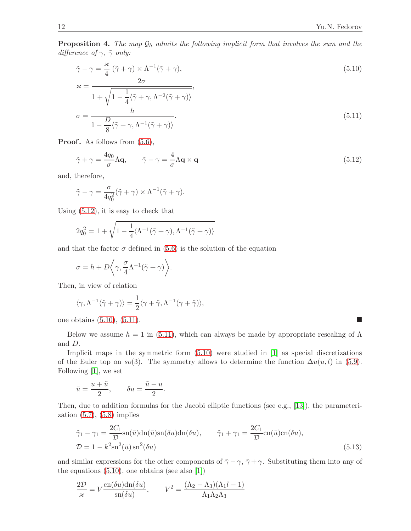**Proposition 4.** The map  $\mathcal{G}_h$  admits the following implicit form that involves the sum and the difference of  $\gamma$ ,  $\tilde{\gamma}$  only:

<span id="page-11-1"></span>
$$
\tilde{\gamma} - \gamma = \frac{\kappa}{4} (\tilde{\gamma} + \gamma) \times \Lambda^{-1} (\tilde{\gamma} + \gamma),
$$
\n
$$
\kappa = \frac{2\sigma}{1 + \sqrt{1 - \frac{1}{4} \langle \tilde{\gamma} + \gamma, \Lambda^{-2} (\tilde{\gamma} + \gamma) \rangle}},
$$
\n
$$
\sigma = \frac{h}{\gamma}
$$
\n(5.11)

<span id="page-11-2"></span>
$$
\sigma = \frac{D}{1 - \frac{D}{8} \langle \tilde{\gamma} + \gamma, \Lambda^{-1} (\tilde{\gamma} + \gamma) \rangle}.
$$
\n(5.11)

**Proof.** As follows from  $(5.6)$ ,

<span id="page-11-0"></span>
$$
\tilde{\gamma} + \gamma = \frac{4q_0}{\sigma} \Lambda \mathbf{q}, \qquad \tilde{\gamma} - \gamma = \frac{4}{\sigma} \Lambda \mathbf{q} \times \mathbf{q}
$$
\n(5.12)

and, therefore,

$$
\tilde{\gamma} - \gamma = \frac{\sigma}{4q_0^2} (\tilde{\gamma} + \gamma) \times \Lambda^{-1} (\tilde{\gamma} + \gamma).
$$

Using [\(5.12\)](#page-11-0), it is easy to check that

$$
2q_0^2 = 1 + \sqrt{1 - \frac{1}{4} \langle \Lambda^{-1}(\tilde{\gamma} + \gamma), \Lambda^{-1}(\tilde{\gamma} + \gamma) \rangle}
$$

and that the factor  $\sigma$  defined in [\(5.6\)](#page-9-5) is the solution of the equation

$$
\sigma = h + D\bigg\langle \gamma, \frac{\sigma}{4} \Lambda^{-1}(\tilde{\gamma} + \gamma) \bigg\rangle.
$$

Then, in view of relation

$$
\langle \gamma, \Lambda^{-1}(\tilde{\gamma} + \gamma) \rangle = \frac{1}{2} \langle \gamma + \tilde{\gamma}, \Lambda^{-1}(\gamma + \tilde{\gamma}) \rangle,
$$

one obtains  $(5.10)$ ,  $(5.11)$ .

Below we assume  $h = 1$  in [\(5.11\)](#page-11-2), which can always be made by appropriate rescaling of  $\Lambda$ and D.

Implicit maps in the symmetric form  $(5.10)$  were studied in  $[1]$  as special discretizations of the Euler top on so(3). The symmetry allows to determine the function  $\Delta u(u, l)$  in [\(5.9\)](#page-10-0). Following [\[1\]](#page-13-3), we set

$$
\bar{u} = \frac{u + \tilde{u}}{2}, \qquad \delta u = \frac{\tilde{u} - u}{2}.
$$

Then, due to addition formulas for the Jacobi elliptic functions (see e.g., [\[13\]](#page-14-14)), the parameterization  $(5.7)$ ,  $(5.8)$  implies

<span id="page-11-3"></span>
$$
\tilde{\gamma}_1 - \gamma_1 = \frac{2C_1}{\mathcal{D}} \operatorname{sn}(\bar{u}) \operatorname{dn}(\bar{u}) \operatorname{sn}(\delta u) \operatorname{dn}(\delta u), \qquad \tilde{\gamma}_1 + \gamma_1 = \frac{2C_1}{\mathcal{D}} \operatorname{cn}(\bar{u}) \operatorname{cn}(\delta u),
$$
  

$$
\mathcal{D} = 1 - k^2 \operatorname{sn}^2(\bar{u}) \operatorname{sn}^2(\delta u)
$$
(5.13)

and similar expressions for the other components of  $\tilde{\gamma} - \gamma$ ,  $\tilde{\gamma} + \gamma$ . Substituting them into any of the equations [\(5.10\)](#page-11-1), one obtains (see also [\[1\]](#page-13-3))

$$
\frac{2\mathcal{D}}{\varkappa} = V \frac{\text{cn}(\delta u)\text{dn}(\delta u)}{\text{sn}(\delta u)}, \qquad V^2 = \frac{(\Lambda_2 - \Lambda_3)(\Lambda_1 l - 1)}{\Lambda_1 \Lambda_2 \Lambda_3}
$$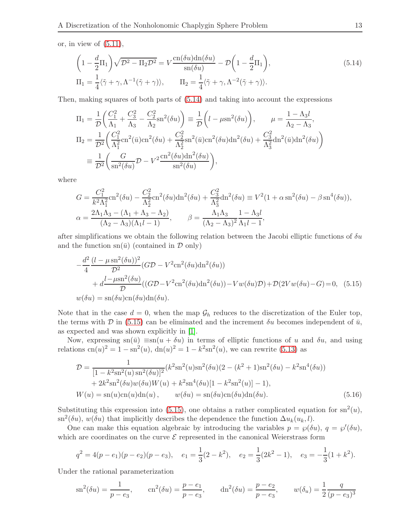or, in view of  $(5.11)$ ,

<span id="page-12-0"></span>
$$
\left(1 - \frac{d}{2}\Pi_1\right)\sqrt{\mathcal{D}^2 - \Pi_2\mathcal{D}^2} = V \frac{\text{cn}(\delta u)\text{dn}(\delta u)}{\text{sn}(\delta u)} - \mathcal{D}\left(1 - \frac{d}{2}\Pi_1\right),
$$
\n
$$
\Pi_1 = \frac{1}{4}\langle\tilde{\gamma} + \gamma, \Lambda^{-1}(\tilde{\gamma} + \gamma)\rangle, \qquad \Pi_2 = \frac{1}{4}\langle\tilde{\gamma} + \gamma, \Lambda^{-2}(\tilde{\gamma} + \gamma)\rangle.
$$
\n(5.14)

Then, making squares of both parts of [\(5.14\)](#page-12-0) and taking into account the expressions

$$
\Pi_1 = \frac{1}{\mathcal{D}} \left( \frac{C_1^2}{\Lambda_1} + \frac{C_3^2}{\Lambda_3} - \frac{C_2^2}{\Lambda_2} \text{sn}^2(\delta u) \right) \equiv \frac{1}{\mathcal{D}} \left( l - \mu \text{sn}^2(\delta u) \right), \qquad \mu = \frac{1 - \Lambda_3 l}{\Lambda_2 - \Lambda_3},
$$
\n
$$
\Pi_2 = \frac{1}{\mathcal{D}^2} \left( \frac{C_1^2}{\Lambda_1^2} \text{cn}^2(\bar{u}) \text{cn}^2(\delta u) + \frac{C_2^2}{\Lambda_2^2} \text{sn}^2(\bar{u}) \text{cn}^2(\delta u) \text{dn}^2(\delta u) + \frac{C_3^2}{\Lambda_3^2} \text{dn}^2(\bar{u}) \text{dn}^2(\delta u) \right)
$$
\n
$$
\equiv \frac{1}{\mathcal{D}^2} \left( \frac{G}{\text{sn}^2(\delta u)} \mathcal{D} - V^2 \frac{\text{cn}^2(\delta u) \text{dn}^2(\delta u)}{\text{sn}^2(\delta u)} \right),
$$

where

$$
G = \frac{C_1^2}{k^2 \Lambda_1^2} \text{cn}^2(\delta u) - \frac{C_2^2}{\Lambda_2^2} \text{cn}^2(\delta u) \text{dn}^2(\delta u) + \frac{C_3^2}{\Lambda_3^2} \text{dn}^2(\delta u) \equiv V^2(1 + \alpha \text{sn}^2(\delta u) - \beta \text{sn}^4(\delta u)),
$$
  

$$
\alpha = \frac{2\Lambda_1 \Lambda_3 - (\Lambda_1 + \Lambda_3 - \Lambda_2)}{(\Lambda_2 - \Lambda_3)(\Lambda_1 l - 1)}, \qquad \beta = \frac{\Lambda_1 \Lambda_3}{(\Lambda_2 - \Lambda_3)^2} \frac{1 - \Lambda_3 l}{\Lambda_1 l - 1},
$$

after simplifications we obtain the following relation between the Jacobi elliptic functions of  $\delta u$ and the function  $\text{sn}(\bar{u})$  (contained in  $\mathcal D$  only)

<span id="page-12-1"></span>
$$
-\frac{d^2}{4}\frac{(l-\mu\operatorname{sn}^2(\delta u))^2}{\mathcal{D}^2}(G\mathcal{D}-V^2\operatorname{cn}^2(\delta u)\operatorname{dn}^2(\delta u))
$$
  
+ 
$$
d\frac{l-\mu\operatorname{sn}^2(\delta u)}{\mathcal{D}}((G\mathcal{D}-V^2\operatorname{cn}^2(\delta u)\operatorname{dn}^2(\delta u))-Vw(\delta u)\mathcal{D})+\mathcal{D}(2Vw(\delta u)-G)=0, (5.15)
$$
  

$$
w(\delta u)=\operatorname{sn}(\delta u)\operatorname{cn}(\delta u)\operatorname{dn}(\delta u).
$$

Note that in the case  $d = 0$ , when the map  $\mathcal{G}_h$  reduces to the discretization of the Euler top, the terms with D in [\(5.15\)](#page-12-1) can be eliminated and the increment  $\delta u$  becomes independent of  $\bar{u}$ , as expected and was shown explicitly in [\[1\]](#page-13-3).

Now, expressing  $\text{sn}(\bar{u}) \equiv \text{sn}(u + \delta u)$  in terms of elliptic functions of u and  $\delta u$ , and using relations  $cn(u)^2 = 1 - sn^2(u)$ ,  $dn(u)^2 = 1 - k^2 sn^2(u)$ , we can rewrite [\(5.13\)](#page-11-3) as

<span id="page-12-2"></span>
$$
\mathcal{D} = \frac{1}{[1 - k^2 \text{sn}^2(u) \text{sn}^2(\delta u)]^2} (k^2 \text{sn}^2(u) \text{sn}^2(\delta u)(2 - (k^2 + 1) \text{sn}^2(\delta u) - k^2 \text{sn}^4(\delta u)) \n+ 2k^2 \text{sn}^2(\delta u) w(\delta u) W(u) + k^2 \text{sn}^4(\delta u)[1 - k^2 \text{sn}^2(u)] - 1), \nW(u) = \text{sn}(u) \text{cn}(u) \text{dn}(u), \qquad w(\delta u) = \text{sn}(\delta u) \text{cn}(\delta u) \text{dn}(\delta u).
$$
\n(5.16)

Substituting this expression into [\(5.15\)](#page-12-1), one obtains a rather complicated equation for  $\text{sn}^2(u)$ ,  $\sin^2(\delta u)$ ,  $w(\delta u)$  that implicitly describes the dependence the function  $\Delta u_k(u_k, l)$ .

One can make this equation algebraic by introducing the variables  $p = \wp(\delta u)$ ,  $q = \wp'(\delta u)$ , which are coordinates on the curve  $\mathcal E$  represented in the canonical Weierstrass form

$$
q^2 = 4(p - e_1)(p - e_2)(p - e_3),
$$
  $e_1 = \frac{1}{3}(2 - k^2),$   $e_2 = \frac{1}{3}(2k^2 - 1),$   $e_3 = -\frac{1}{3}(1 + k^2).$ 

Under the rational parameterization

$$
\operatorname{sn}^2(\delta u) = \frac{1}{p - e_3},
$$
\n $\operatorname{cn}^2(\delta u) = \frac{p - e_1}{p - e_3},$ \n $\operatorname{dn}^2(\delta u) = \frac{p - e_2}{p - e_3},$ \n $w(\delta_u) = \frac{1}{2} \frac{q}{(p - e_3)^3}$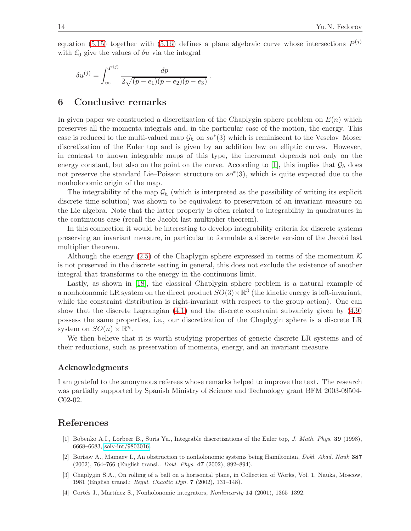equation [\(5.15\)](#page-12-1) together with [\(5.16\)](#page-12-2) defines a plane algebraic curve whose intersections  $P^{(j)}$ with  $\mathcal{E}_0$  give the values of  $\delta u$  via the integral

$$
\delta u^{(j)} = \int_{\infty}^{P^{(j)}} \frac{dp}{2\sqrt{(p-e_1)(p-e_2)(p-e_3)}}.
$$

#### 6 Conclusive remarks

In given paper we constructed a discretization of the Chaplygin sphere problem on  $E(n)$  which preserves all the momenta integrals and, in the particular case of the motion, the energy. This case is reduced to the multi-valued map  $\mathcal{G}_h$  on  $so^*(3)$  which is reminiscent to the Veselov–Moser discretization of the Euler top and is given by an addition law on elliptic curves. However, in contrast to known integrable maps of this type, the increment depends not only on the energy constant, but also on the point on the curve. According to [\[1\]](#page-13-3), this implies that  $\mathcal{G}_h$  does not preserve the standard Lie–Poisson structure on  $so^*(3)$ , which is quite expected due to the nonholonomic origin of the map.

The integrability of the map  $\mathcal{G}_h$  (which is interpreted as the possibility of writing its explicit discrete time solution) was shown to be equivalent to preservation of an invariant measure on the Lie algebra. Note that the latter property is often related to integrability in quadratures in the continuous case (recall the Jacobi last multiplier theorem).

In this connection it would be interesting to develop integrability criteria for discrete systems preserving an invariant measure, in particular to formulate a discrete version of the Jacobi last multiplier theorem.

Although the energy [\(2.5\)](#page-2-3) of the Chaplygin sphere expressed in terms of the momentum  $\mathcal K$ is not preserved in the discrete setting in general, this does not exclude the existence of another integral that transforms to the energy in the continuous limit.

Lastly, as shown in [\[18\]](#page-14-13), the classical Chaplygin sphere problem is a natural example of a nonholonomic LR system on the direct product  $SO(3) \times \mathbb{R}^3$  (the kinetic energy is left-invariant, while the constraint distribution is right-invariant with respect to the group action). One can show that the discrete Lagrangian [\(4.1\)](#page-5-2) and the discrete constraint subvariety given by [\(4.9\)](#page-6-4) possess the same properties, i.e., our discretization of the Chaplygin sphere is a discrete LR system on  $SO(n) \times \mathbb{R}^n$ .

We then believe that it is worth studying properties of generic discrete LR systems and of their reductions, such as preservation of momenta, energy, and an invariant measure.

#### Acknowledgments

I am grateful to the anonymous referees whose remarks helped to improve the text. The research was partially supported by Spanish Ministry of Science and Technology grant BFM 2003-09504- C02-02.

## <span id="page-13-3"></span>References

- <span id="page-13-0"></span>[1] Bobenko A.I., Lorbeer B., Suris Yu., Integrable discretizations of the Euler top, J. Math. Phys. 39 (1998), 6668–6683, [solv-int/9803016.](http://arxiv.org/abs/solv-int/9803016)
- <span id="page-13-2"></span>[2] Borisov A., Mamaev I., An obstruction to nonholonomic systems being Hamiltonian, Dokl. Akad. Nauk 387 (2002), 764–766 (English transl.: Dokl. Phys. 47 (2002), 892–894).
- <span id="page-13-1"></span>[3] Chaplygin S.A., On rolling of a ball on a horisontal plane, in Collection of Works, Vol. 1, Nauka, Moscow, 1981 (English transl.: Regul. Chaotic Dyn. 7 (2002), 131–148).
- [4] Cortés J., Martínez S., Nonholonomic integrators, *Nonlinearity* 14 (2001), 1365–1392.